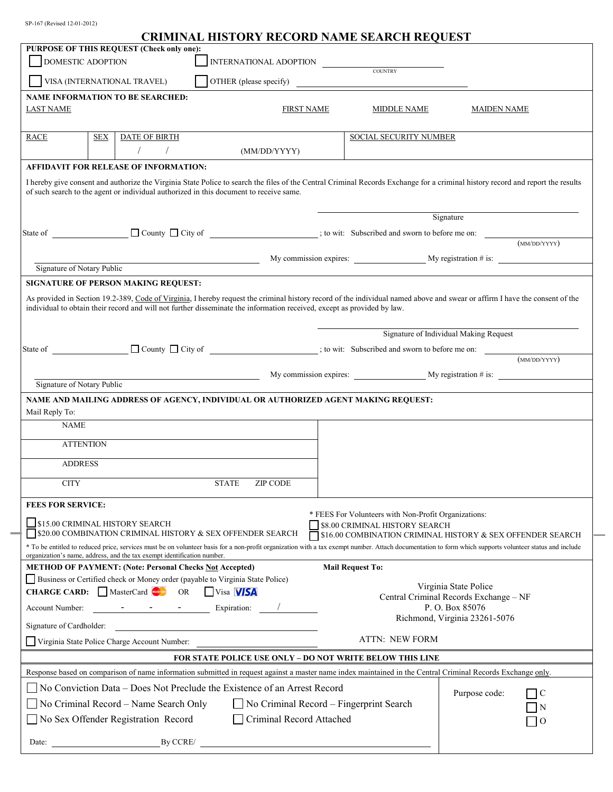SP-167 (Revised 12-01-2012)

## **CRIMINAL HISTORY RECORD NAME SEARCH REQUEST**

| PURPOSE OF THIS REQUEST (Check only one):                                                                                                                                                                                                                                                                                                                                                                                                                                                                                                                                               |                                         |                                                                                               |                                                              |
|-----------------------------------------------------------------------------------------------------------------------------------------------------------------------------------------------------------------------------------------------------------------------------------------------------------------------------------------------------------------------------------------------------------------------------------------------------------------------------------------------------------------------------------------------------------------------------------------|-----------------------------------------|-----------------------------------------------------------------------------------------------|--------------------------------------------------------------|
| <b>DOMESTIC ADOPTION</b>                                                                                                                                                                                                                                                                                                                                                                                                                                                                                                                                                                | INTERNATIONAL ADOPTION                  | COUNTRY                                                                                       |                                                              |
| VISA (INTERNATIONAL TRAVEL)                                                                                                                                                                                                                                                                                                                                                                                                                                                                                                                                                             | OTHER (please specify)                  |                                                                                               |                                                              |
| <b>NAME INFORMATION TO BE SEARCHED:</b>                                                                                                                                                                                                                                                                                                                                                                                                                                                                                                                                                 |                                         |                                                                                               |                                                              |
| <b>LAST NAME</b>                                                                                                                                                                                                                                                                                                                                                                                                                                                                                                                                                                        | <b>FIRST NAME</b>                       | MIDDLE NAME                                                                                   | <b>MAIDEN NAME</b>                                           |
| <b>SEX</b><br><b>RACE</b><br>DATE OF BIRTH                                                                                                                                                                                                                                                                                                                                                                                                                                                                                                                                              |                                         | SOCIAL SECURITY NUMBER                                                                        |                                                              |
| $\sqrt{2}$<br>(MM/DD/YYYY)                                                                                                                                                                                                                                                                                                                                                                                                                                                                                                                                                              |                                         |                                                                                               |                                                              |
| <b>AFFIDAVIT FOR RELEASE OF INFORMATION:</b>                                                                                                                                                                                                                                                                                                                                                                                                                                                                                                                                            |                                         |                                                                                               |                                                              |
| I hereby give consent and authorize the Virginia State Police to search the files of the Central Criminal Records Exchange for a criminal history record and report the results<br>of such search to the agent or individual authorized in this document to receive same.                                                                                                                                                                                                                                                                                                               |                                         |                                                                                               |                                                              |
|                                                                                                                                                                                                                                                                                                                                                                                                                                                                                                                                                                                         |                                         |                                                                                               | Signature                                                    |
|                                                                                                                                                                                                                                                                                                                                                                                                                                                                                                                                                                                         |                                         |                                                                                               |                                                              |
| State of <u>County City of City of County City of countries</u> ; to wit: Subscribed and sworn to before me on:                                                                                                                                                                                                                                                                                                                                                                                                                                                                         |                                         |                                                                                               | (MM/DD/YYYY)                                                 |
|                                                                                                                                                                                                                                                                                                                                                                                                                                                                                                                                                                                         |                                         |                                                                                               | My commission expires: $\qquad \qquad$ My registration # is: |
| Signature of Notary Public                                                                                                                                                                                                                                                                                                                                                                                                                                                                                                                                                              |                                         |                                                                                               |                                                              |
| SIGNATURE OF PERSON MAKING REQUEST:                                                                                                                                                                                                                                                                                                                                                                                                                                                                                                                                                     |                                         |                                                                                               |                                                              |
| As provided in Section 19.2-389, Code of Virginia, I hereby request the criminal history record of the individual named above and swear or affirm I have the consent of the<br>individual to obtain their record and will not further disseminate the information received, except as provided by law.                                                                                                                                                                                                                                                                                  |                                         |                                                                                               |                                                              |
|                                                                                                                                                                                                                                                                                                                                                                                                                                                                                                                                                                                         |                                         |                                                                                               | Signature of Individual Making Request                       |
| State of <u>County</u> $\Box$ County $\Box$ City of $\Box$ City of $\Box$ (i.e. Subscribed and sworn to before me on:                                                                                                                                                                                                                                                                                                                                                                                                                                                                   |                                         |                                                                                               |                                                              |
|                                                                                                                                                                                                                                                                                                                                                                                                                                                                                                                                                                                         |                                         |                                                                                               | (MM/DD/YYYY)                                                 |
|                                                                                                                                                                                                                                                                                                                                                                                                                                                                                                                                                                                         |                                         |                                                                                               | My commission expires: $\qquad \qquad$ My registration # is: |
| Signature of Notary Public                                                                                                                                                                                                                                                                                                                                                                                                                                                                                                                                                              |                                         |                                                                                               |                                                              |
| NAME AND MAILING ADDRESS OF AGENCY, INDIVIDUAL OR AUTHORIZED AGENT MAKING REQUEST:                                                                                                                                                                                                                                                                                                                                                                                                                                                                                                      |                                         |                                                                                               |                                                              |
| Mail Reply To:                                                                                                                                                                                                                                                                                                                                                                                                                                                                                                                                                                          |                                         |                                                                                               |                                                              |
| <b>NAME</b>                                                                                                                                                                                                                                                                                                                                                                                                                                                                                                                                                                             |                                         |                                                                                               |                                                              |
| <b>ATTENTION</b>                                                                                                                                                                                                                                                                                                                                                                                                                                                                                                                                                                        |                                         |                                                                                               |                                                              |
| <b>ADDRESS</b>                                                                                                                                                                                                                                                                                                                                                                                                                                                                                                                                                                          |                                         |                                                                                               |                                                              |
| <b>CITY</b><br><b>STATE</b>                                                                                                                                                                                                                                                                                                                                                                                                                                                                                                                                                             |                                         |                                                                                               |                                                              |
|                                                                                                                                                                                                                                                                                                                                                                                                                                                                                                                                                                                         | <b>ZIP CODE</b>                         |                                                                                               |                                                              |
|                                                                                                                                                                                                                                                                                                                                                                                                                                                                                                                                                                                         |                                         |                                                                                               |                                                              |
| <b>FEES FOR SERVICE:</b><br>S15.00 CRIMINAL HISTORY SEARCH<br>S20.00 COMBINATION CRIMINAL HISTORY & SEX OFFENDER SEARCH                                                                                                                                                                                                                                                                                                                                                                                                                                                                 |                                         | * FEES For Volunteers with Non-Profit Organizations:<br><b>\$8.00 CRIMINAL HISTORY SEARCH</b> | S16.00 COMBINATION CRIMINAL HISTORY & SEX OFFENDER SEARCH    |
| * To be entitled to reduced price, services must be on volunteer basis for a non-profit organization with a tax exempt number. Attach documentation to form which supports volunteer status and include                                                                                                                                                                                                                                                                                                                                                                                 |                                         |                                                                                               |                                                              |
| organization's name, address, and the tax exempt identification number.                                                                                                                                                                                                                                                                                                                                                                                                                                                                                                                 |                                         |                                                                                               |                                                              |
| <b>METHOD OF PAYMENT: (Note: Personal Checks Not Accepted)</b>                                                                                                                                                                                                                                                                                                                                                                                                                                                                                                                          |                                         | <b>Mail Request To:</b>                                                                       |                                                              |
| Business or Certified check or Money order (payable to Virginia State Police)                                                                                                                                                                                                                                                                                                                                                                                                                                                                                                           |                                         |                                                                                               | Virginia State Police                                        |
| <b>CHARGE CARD:</b> MasterCard Charles OR<br><b>UVisa VISA</b><br>$\begin{tabular}{ll} \bf - & & \bf - & & \bf - \\ \bf - & & \bf - & \bf - \\ \bf - & & \bf - \\ \bf - & & \bf - \\ \bf - & & \bf - \\ \bf - & & \bf - \\ \bf - & & \bf - \\ \bf - & & \bf - \\ \bf - & & \bf - \\ \bf - & & \bf - \\ \bf - & & \bf - \\ \bf - & & \bf - \\ \bf - & & \bf - \\ \bf - & & \bf - \\ \bf - & & \bf - \\ \bf - & & \bf - \\ \bf - & & \bf - \\ \bf - & & \bf - \\ \bf - & & \bf - \\ \bf - & & \bf - \\ \bf - & & \bf - \\ \bf - & & \bf - \\ \bf - & &$<br>Account Number:<br>Expiration: |                                         |                                                                                               | Central Criminal Records Exchange - NF<br>P.O. Box 85076     |
| Signature of Cardholder:                                                                                                                                                                                                                                                                                                                                                                                                                                                                                                                                                                |                                         |                                                                                               | Richmond, Virginia 23261-5076                                |
| Virginia State Police Charge Account Number:                                                                                                                                                                                                                                                                                                                                                                                                                                                                                                                                            |                                         | ATTN: NEW FORM                                                                                |                                                              |
| <b>FOR STATE POLICE USE ONLY – DO NOT WRITE BELOW THIS LINE</b>                                                                                                                                                                                                                                                                                                                                                                                                                                                                                                                         |                                         |                                                                                               |                                                              |
|                                                                                                                                                                                                                                                                                                                                                                                                                                                                                                                                                                                         |                                         |                                                                                               |                                                              |
| Response based on comparison of name information submitted in request against a master name index maintained in the Central Criminal Records Exchange only.                                                                                                                                                                                                                                                                                                                                                                                                                             |                                         |                                                                                               |                                                              |
| No Conviction Data – Does Not Preclude the Existence of an Arrest Record                                                                                                                                                                                                                                                                                                                                                                                                                                                                                                                |                                         |                                                                                               | Purpose code:<br>$\overline{C}$                              |
| No Criminal Record - Name Search Only                                                                                                                                                                                                                                                                                                                                                                                                                                                                                                                                                   | No Criminal Record – Fingerprint Search |                                                                                               |                                                              |
| No Sex Offender Registration Record                                                                                                                                                                                                                                                                                                                                                                                                                                                                                                                                                     | Criminal Record Attached                |                                                                                               | $\theta$                                                     |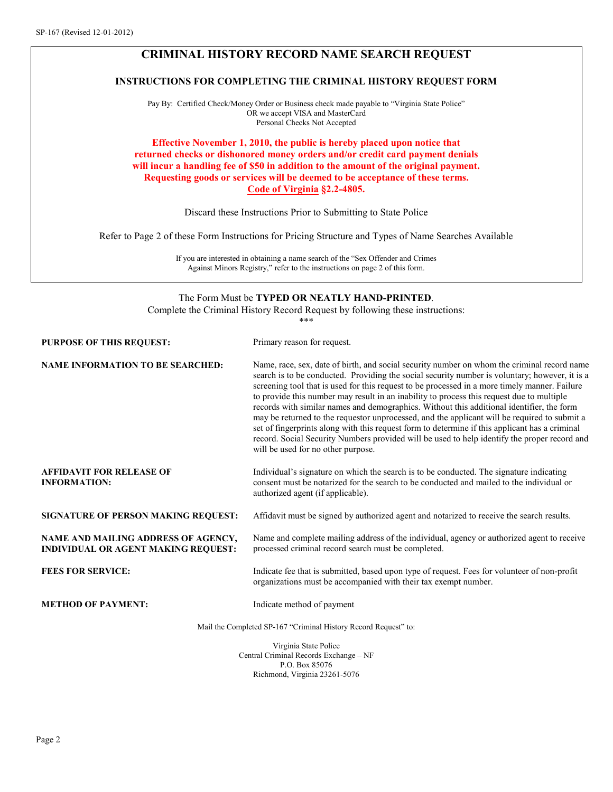# **CRIMINAL HISTORY RECORD NAME SEARCH REQUEST**

### **INSTRUCTIONS FOR COMPLETING THE CRIMINAL HISTORY REQUEST FORM**

Pay By: Certified Check/Money Order or Business check made payable to "Virginia State Police" OR we accept VISA and MasterCard Personal Checks Not Accepted

#### **Effective November 1, 2010, the public is hereby placed upon notice that returned checks or dishonored money orders and/or credit card payment denials will incur a handling fee of \$50 in addition to the amount of the original payment. Requesting goods or services will be deemed to be acceptance of these terms. Code of Virginia §2.2-4805.**

Discard these Instructions Prior to Submitting to State Police

Refer to Page 2 of these Form Instructions for Pricing Structure and Types of Name Searches Available

If you are interested in obtaining a name search of the "Sex Offender and Crimes Against Minors Registry," refer to the instructions on page 2 of this form.

#### The Form Must be **TYPED OR NEATLY HAND-PRINTED**.

Complete the Criminal History Record Request by following these instructions:

\*\*\*

| <b>PURPOSE OF THIS REQUEST:</b>                                                   | Primary reason for request.                                                                                                                                                                                                                                                                                                                                                                                                                                                                                                                                                                                                                                                                                                                                                                                                      |
|-----------------------------------------------------------------------------------|----------------------------------------------------------------------------------------------------------------------------------------------------------------------------------------------------------------------------------------------------------------------------------------------------------------------------------------------------------------------------------------------------------------------------------------------------------------------------------------------------------------------------------------------------------------------------------------------------------------------------------------------------------------------------------------------------------------------------------------------------------------------------------------------------------------------------------|
| <b>NAME INFORMATION TO BE SEARCHED:</b>                                           | Name, race, sex, date of birth, and social security number on whom the criminal record name<br>search is to be conducted. Providing the social security number is voluntary; however, it is a<br>screening tool that is used for this request to be processed in a more timely manner. Failure<br>to provide this number may result in an inability to process this request due to multiple<br>records with similar names and demographics. Without this additional identifier, the form<br>may be returned to the requestor unprocessed, and the applicant will be required to submit a<br>set of fingerprints along with this request form to determine if this applicant has a criminal<br>record. Social Security Numbers provided will be used to help identify the proper record and<br>will be used for no other purpose. |
| <b>AFFIDAVIT FOR RELEASE OF</b><br><b>INFORMATION:</b>                            | Individual's signature on which the search is to be conducted. The signature indicating<br>consent must be notarized for the search to be conducted and mailed to the individual or<br>authorized agent (if applicable).                                                                                                                                                                                                                                                                                                                                                                                                                                                                                                                                                                                                         |
| <b>SIGNATURE OF PERSON MAKING REQUEST:</b>                                        | Affidavit must be signed by authorized agent and notarized to receive the search results.                                                                                                                                                                                                                                                                                                                                                                                                                                                                                                                                                                                                                                                                                                                                        |
| NAME AND MAILING ADDRESS OF AGENCY,<br><b>INDIVIDUAL OR AGENT MAKING REQUEST:</b> | Name and complete mailing address of the individual, agency or authorized agent to receive<br>processed criminal record search must be completed.                                                                                                                                                                                                                                                                                                                                                                                                                                                                                                                                                                                                                                                                                |
| <b>FEES FOR SERVICE:</b>                                                          | Indicate fee that is submitted, based upon type of request. Fees for volunteer of non-profit<br>organizations must be accompanied with their tax exempt number.                                                                                                                                                                                                                                                                                                                                                                                                                                                                                                                                                                                                                                                                  |
| <b>METHOD OF PAYMENT:</b>                                                         | Indicate method of payment                                                                                                                                                                                                                                                                                                                                                                                                                                                                                                                                                                                                                                                                                                                                                                                                       |
|                                                                                   | Mail the Completed SP-167 "Criminal History Record Request" to:                                                                                                                                                                                                                                                                                                                                                                                                                                                                                                                                                                                                                                                                                                                                                                  |
|                                                                                   | Virginia State Police<br>Central Criminal Records Exchange - NF                                                                                                                                                                                                                                                                                                                                                                                                                                                                                                                                                                                                                                                                                                                                                                  |

P.O. Box 85076 Richmond, Virginia 23261-5076